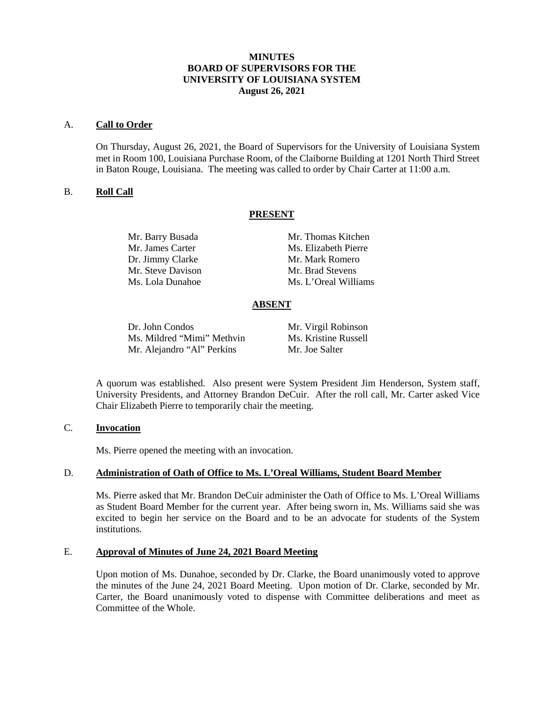## **MINUTES BOARD OF SUPERVISORS FOR THE UNIVERSITY OF LOUISIANA SYSTEM August 26, 2021**

#### A. **Call to Order**

On Thursday, August 26, 2021, the Board of Supervisors for the University of Louisiana System met in Room 100, Louisiana Purchase Room, of the Claiborne Building at 1201 North Third Street in Baton Rouge, Louisiana. The meeting was called to order by Chair Carter at 11:00 a.m.

### B. **Roll Call**

### **PRESENT**

Dr. Jimmy Clarke Mr. Mark Romero Mr. Steve Davison Mr. Brad Stevens

Mr. Barry Busada Mr. Thomas Kitchen Mr. James Carter Ms. Elizabeth Pierre Ms. Lola Dunahoe Ms. L'Oreal Williams

## **ABSENT**

Dr. John Condos Mr. Virgil Robinson<br>Ms. Mildred "Mimi" Methvin Ms. Kristine Russell Ms. Mildred "Mimi" Methvin Mr. Alejandro "Al" Perkins Mr. Joe Salter

A quorum was established. Also present were System President Jim Henderson, System staff, University Presidents, and Attorney Brandon DeCuir. After the roll call, Mr. Carter asked Vice Chair Elizabeth Pierre to temporarily chair the meeting.

### C. **Invocation**

Ms. Pierre opened the meeting with an invocation.

## D. **Administration of Oath of Office to Ms. L'Oreal Williams, Student Board Member**

Ms. Pierre asked that Mr. Brandon DeCuir administer the Oath of Office to Ms. L'Oreal Williams as Student Board Member for the current year. After being sworn in, Ms. Williams said she was excited to begin her service on the Board and to be an advocate for students of the System institutions.

## E. **Approval of Minutes of June 24, 2021 Board Meeting**

Upon motion of Ms. Dunahoe, seconded by Dr. Clarke, the Board unanimously voted to approve the minutes of the June 24, 2021 Board Meeting. Upon motion of Dr. Clarke, seconded by Mr. Carter, the Board unanimously voted to dispense with Committee deliberations and meet as Committee of the Whole.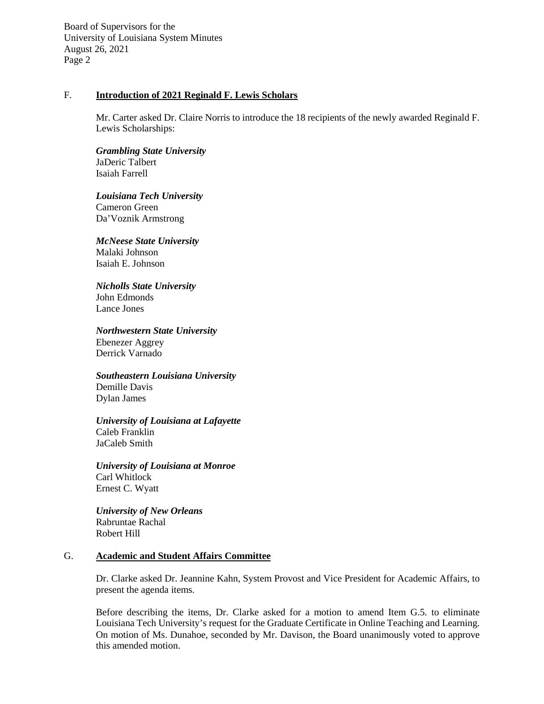## F. **Introduction of 2021 Reginald F. Lewis Scholars**

Mr. Carter asked Dr. Claire Norris to introduce the 18 recipients of the newly awarded Reginald F. Lewis Scholarships:

*Grambling State University* JaDeric Talbert Isaiah Farrell

*Louisiana Tech University* Cameron Green Da'Voznik Armstrong

*McNeese State University* Malaki Johnson Isaiah E. Johnson

*Nicholls State University* John Edmonds

Lance Jones

*Northwestern State University*

Ebenezer Aggrey Derrick Varnado

*Southeastern Louisiana University* Demille Davis

Dylan James

*University of Louisiana at Lafayette* Caleb Franklin JaCaleb Smith

*University of Louisiana at Monroe* Carl Whitlock Ernest C. Wyatt

*University of New Orleans* Rabruntae Rachal Robert Hill

#### G. **Academic and Student Affairs Committee**

Dr. Clarke asked Dr. Jeannine Kahn, System Provost and Vice President for Academic Affairs, to present the agenda items.

Before describing the items, Dr. Clarke asked for a motion to amend Item G.5. to eliminate Louisiana Tech University's request for the Graduate Certificate in Online Teaching and Learning. On motion of Ms. Dunahoe, seconded by Mr. Davison, the Board unanimously voted to approve this amended motion.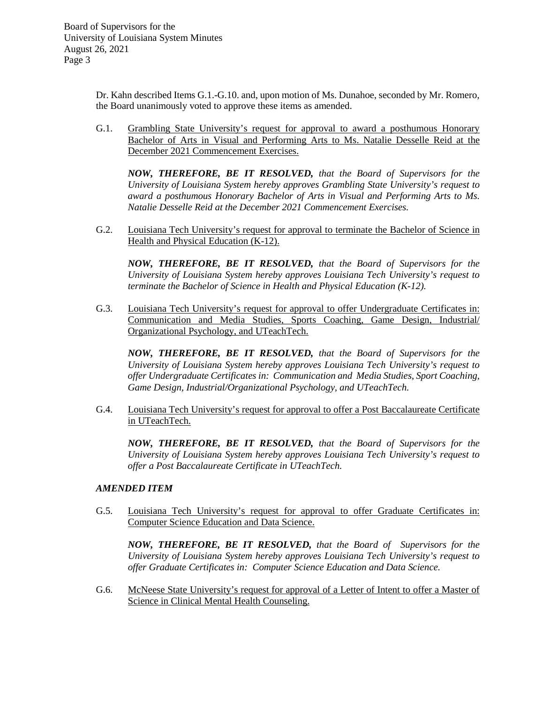Dr. Kahn described Items G.1.-G.10. and, upon motion of Ms. Dunahoe, seconded by Mr. Romero, the Board unanimously voted to approve these items as amended.

G.1. Grambling State University's request for approval to award a posthumous Honorary Bachelor of Arts in Visual and Performing Arts to Ms. Natalie Desselle Reid at the December 2021 Commencement Exercises.

*NOW, THEREFORE, BE IT RESOLVED, that the Board of Supervisors for the University of Louisiana System hereby approves Grambling State University's request to award a posthumous Honorary Bachelor of Arts in Visual and Performing Arts to Ms. Natalie Desselle Reid at the December 2021 Commencement Exercises.*

G.2. Louisiana Tech University's request for approval to terminate the Bachelor of Science in Health and Physical Education (K-12).

*NOW, THEREFORE, BE IT RESOLVED, that the Board of Supervisors for the University of Louisiana System hereby approves Louisiana Tech University's request to terminate the Bachelor of Science in Health and Physical Education (K-12).*

G.3. Louisiana Tech University's request for approval to offer Undergraduate Certificates in: Communication and Media Studies, Sports Coaching, Game Design, Industrial/ Organizational Psychology, and UTeachTech.

*NOW, THEREFORE, BE IT RESOLVED, that the Board of Supervisors for the University of Louisiana System hereby approves Louisiana Tech University's request to offer Undergraduate Certificates in: Communication and Media Studies, Sport Coaching, Game Design, Industrial/Organizational Psychology, and UTeachTech.*

G.4. Louisiana Tech University's request for approval to offer a Post Baccalaureate Certificate in UTeachTech.

*NOW, THEREFORE, BE IT RESOLVED, that the Board of Supervisors for the University of Louisiana System hereby approves Louisiana Tech University's request to offer a Post Baccalaureate Certificate in UTeachTech.*

## *AMENDED ITEM*

G.5. Louisiana Tech University's request for approval to offer Graduate Certificates in: Computer Science Education and Data Science.

*NOW, THEREFORE, BE IT RESOLVED, that the Board of Supervisors for the University of Louisiana System hereby approves Louisiana Tech University's request to offer Graduate Certificates in: Computer Science Education and Data Science.* 

G.6. McNeese State University's request for approval of a Letter of Intent to offer a Master of Science in Clinical Mental Health Counseling.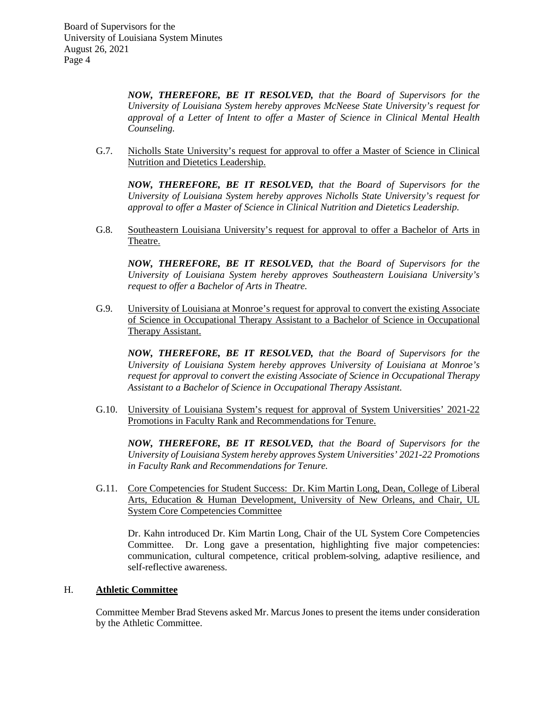*NOW, THEREFORE, BE IT RESOLVED, that the Board of Supervisors for the University of Louisiana System hereby approves McNeese State University's request for approval of a Letter of Intent to offer a Master of Science in Clinical Mental Health Counseling.*

G.7. Nicholls State University's request for approval to offer a Master of Science in Clinical Nutrition and Dietetics Leadership.

*NOW, THEREFORE, BE IT RESOLVED, that the Board of Supervisors for the University of Louisiana System hereby approves Nicholls State University's request for approval to offer a Master of Science in Clinical Nutrition and Dietetics Leadership.*

G.8. Southeastern Louisiana University's request for approval to offer a Bachelor of Arts in Theatre.

*NOW, THEREFORE, BE IT RESOLVED, that the Board of Supervisors for the University of Louisiana System hereby approves Southeastern Louisiana University's request to offer a Bachelor of Arts in Theatre.*

G.9. University of Louisiana at Monroe's request for approval to convert the existing Associate of Science in Occupational Therapy Assistant to a Bachelor of Science in Occupational Therapy Assistant.

*NOW, THEREFORE, BE IT RESOLVED, that the Board of Supervisors for the University of Louisiana System hereby approves University of Louisiana at Monroe's request for approval to convert the existing Associate of Science in Occupational Therapy Assistant to a Bachelor of Science in Occupational Therapy Assistant.*

G.10. University of Louisiana System's request for approval of System Universities' 2021-22 Promotions in Faculty Rank and Recommendations for Tenure.

*NOW, THEREFORE, BE IT RESOLVED, that the Board of Supervisors for the University of Louisiana System hereby approves System Universities' 2021-22 Promotions in Faculty Rank and Recommendations for Tenure.*

G.11. Core Competencies for Student Success: Dr. Kim Martin Long, Dean, College of Liberal Arts, Education & Human Development, University of New Orleans, and Chair, UL System Core Competencies Committee

Dr. Kahn introduced Dr. Kim Martin Long, Chair of the UL System Core Competencies Committee. Dr. Long gave a presentation, highlighting five major competencies: communication, cultural competence, critical problem-solving, adaptive resilience, and self-reflective awareness.

## H. **Athletic Committee**

Committee Member Brad Stevens asked Mr. Marcus Jones to present the items under consideration by the Athletic Committee.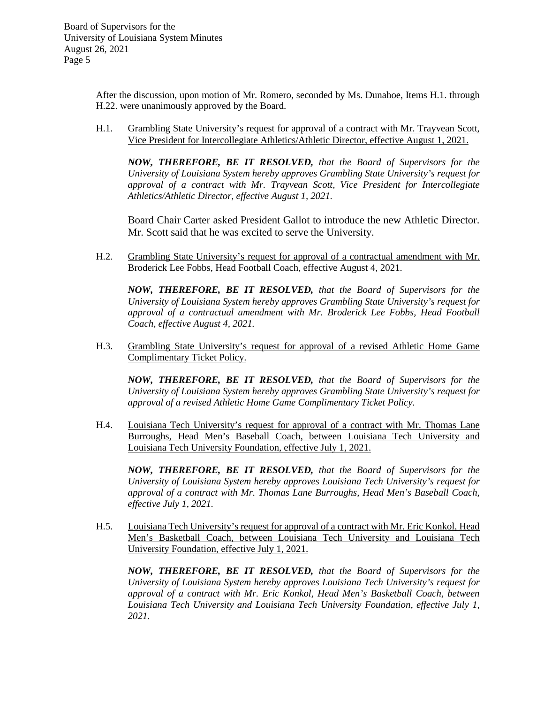> After the discussion, upon motion of Mr. Romero, seconded by Ms. Dunahoe, Items H.1. through H.22. were unanimously approved by the Board.

> H.1. Grambling State University's request for approval of a contract with Mr. Trayvean Scott, Vice President for Intercollegiate Athletics/Athletic Director, effective August 1, 2021.

*NOW, THEREFORE, BE IT RESOLVED, that the Board of Supervisors for the University of Louisiana System hereby approves Grambling State University's request for approval of a contract with Mr. Trayvean Scott, Vice President for Intercollegiate Athletics/Athletic Director, effective August 1, 2021.*

Board Chair Carter asked President Gallot to introduce the new Athletic Director. Mr. Scott said that he was excited to serve the University.

H.2. Grambling State University's request for approval of a contractual amendment with Mr. Broderick Lee Fobbs, Head Football Coach, effective August 4, 2021.

*NOW, THEREFORE, BE IT RESOLVED, that the Board of Supervisors for the University of Louisiana System hereby approves Grambling State University's request for approval of a contractual amendment with Mr. Broderick Lee Fobbs, Head Football Coach, effective August 4, 2021.*

H.3. Grambling State University's request for approval of a revised Athletic Home Game Complimentary Ticket Policy.

*NOW, THEREFORE, BE IT RESOLVED, that the Board of Supervisors for the University of Louisiana System hereby approves Grambling State University's request for approval of a revised Athletic Home Game Complimentary Ticket Policy.*

H.4. Louisiana Tech University's request for approval of a contract with Mr. Thomas Lane Burroughs, Head Men's Baseball Coach, between Louisiana Tech University and Louisiana Tech University Foundation, effective July 1, 2021.

*NOW, THEREFORE, BE IT RESOLVED, that the Board of Supervisors for the University of Louisiana System hereby approves Louisiana Tech University's request for approval of a contract with Mr. Thomas Lane Burroughs, Head Men's Baseball Coach, effective July 1, 2021.*

H.5. Louisiana Tech University's request for approval of a contract with Mr. Eric Konkol, Head Men's Basketball Coach, between Louisiana Tech University and Louisiana Tech University Foundation, effective July 1, 2021.

*NOW, THEREFORE, BE IT RESOLVED, that the Board of Supervisors for the University of Louisiana System hereby approves Louisiana Tech University's request for approval of a contract with Mr. Eric Konkol, Head Men's Basketball Coach, between Louisiana Tech University and Louisiana Tech University Foundation, effective July 1, 2021.*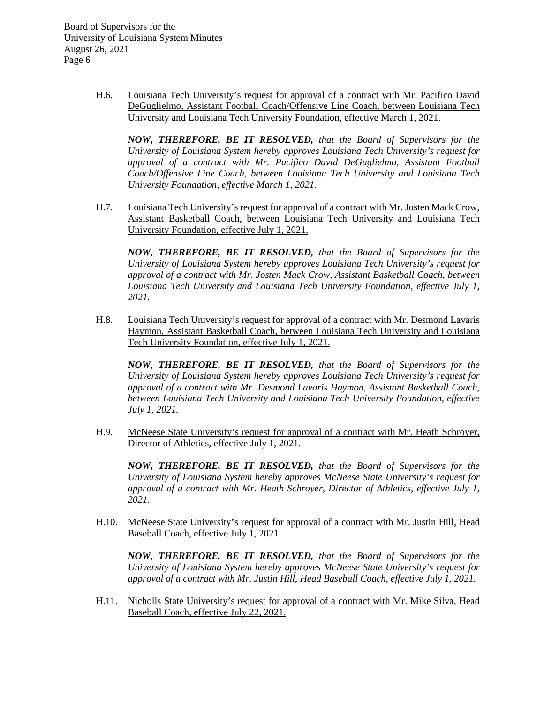> H.6. Louisiana Tech University's request for approval of a contract with Mr. Pacifico David DeGuglielmo, Assistant Football Coach/Offensive Line Coach, between Louisiana Tech University and Louisiana Tech University Foundation, effective March 1, 2021.

*NOW, THEREFORE, BE IT RESOLVED, that the Board of Supervisors for the University of Louisiana System hereby approves Louisiana Tech University's request for approval of a contract with Mr. Pacifico David DeGuglielmo, Assistant Football Coach/Offensive Line Coach, between Louisiana Tech University and Louisiana Tech University Foundation, effective March 1, 2021.*

H.7. Louisiana Tech University's request for approval of a contract with Mr. Josten Mack Crow, Assistant Basketball Coach, between Louisiana Tech University and Louisiana Tech University Foundation, effective July 1, 2021.

*NOW, THEREFORE, BE IT RESOLVED, that the Board of Supervisors for the University of Louisiana System hereby approves Louisiana Tech University's request for approval of a contract with Mr. Josten Mack Crow, Assistant Basketball Coach, between Louisiana Tech University and Louisiana Tech University Foundation, effective July 1, 2021.*

H.8. Louisiana Tech University's request for approval of a contract with Mr. Desmond Lavaris Haymon, Assistant Basketball Coach, between Louisiana Tech University and Louisiana Tech University Foundation, effective July 1, 2021.

*NOW, THEREFORE, BE IT RESOLVED, that the Board of Supervisors for the University of Louisiana System hereby approves Louisiana Tech University's request for approval of a contract with Mr. Desmond Lavaris Haymon, Assistant Basketball Coach, between Louisiana Tech University and Louisiana Tech University Foundation, effective July 1, 2021.*

H.9. McNeese State University's request for approval of a contract with Mr. Heath Schroyer, Director of Athletics, effective July 1, 2021.

*NOW, THEREFORE, BE IT RESOLVED, that the Board of Supervisors for the University of Louisiana System hereby approves McNeese State University's request for approval of a contract with Mr. Heath Schroyer, Director of Athletics, effective July 1, 2021.*

H.10. McNeese State University's request for approval of a contract with Mr. Justin Hill, Head Baseball Coach, effective July 1, 2021.

*NOW, THEREFORE, BE IT RESOLVED, that the Board of Supervisors for the University of Louisiana System hereby approves McNeese State University's request for approval of a contract with Mr. Justin Hill, Head Baseball Coach, effective July 1, 2021.*

H.11. Nicholls State University's request for approval of a contract with Mr. Mike Silva, Head Baseball Coach, effective July 22, 2021.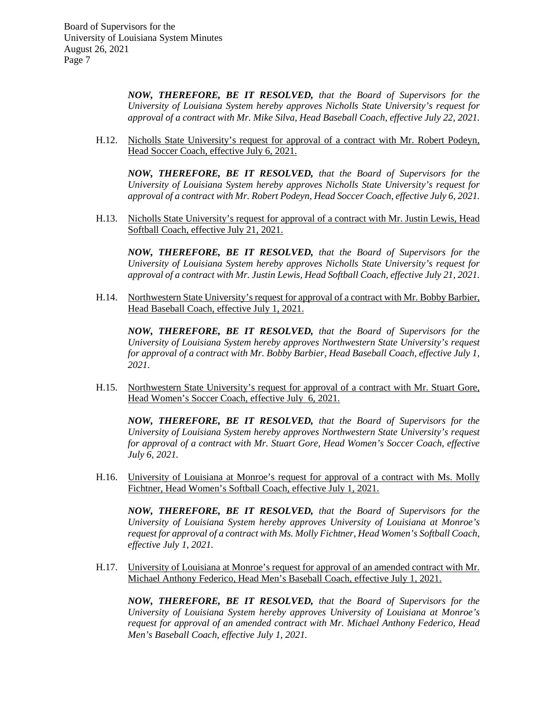> *NOW, THEREFORE, BE IT RESOLVED, that the Board of Supervisors for the University of Louisiana System hereby approves Nicholls State University's request for approval of a contract with Mr. Mike Silva, Head Baseball Coach, effective July 22, 2021.*

H.12. Nicholls State University's request for approval of a contract with Mr. Robert Podeyn, Head Soccer Coach, effective July 6, 2021.

*NOW, THEREFORE, BE IT RESOLVED, that the Board of Supervisors for the University of Louisiana System hereby approves Nicholls State University's request for approval of a contract with Mr. Robert Podeyn, Head Soccer Coach, effective July 6, 2021.*

H.13. Nicholls State University's request for approval of a contract with Mr. Justin Lewis, Head Softball Coach, effective July 21, 2021.

*NOW, THEREFORE, BE IT RESOLVED, that the Board of Supervisors for the University of Louisiana System hereby approves Nicholls State University's request for approval of a contract with Mr. Justin Lewis, Head Softball Coach, effective July 21, 2021.*

H.14. Northwestern State University's request for approval of a contract with Mr. Bobby Barbier, Head Baseball Coach, effective July 1, 2021.

*NOW, THEREFORE, BE IT RESOLVED, that the Board of Supervisors for the University of Louisiana System hereby approves Northwestern State University's request for approval of a contract with Mr. Bobby Barbier, Head Baseball Coach, effective July 1, 2021.*

H.15. Northwestern State University's request for approval of a contract with Mr. Stuart Gore, Head Women's Soccer Coach, effective July 6, 2021.

*NOW, THEREFORE, BE IT RESOLVED, that the Board of Supervisors for the University of Louisiana System hereby approves Northwestern State University's request for approval of a contract with Mr. Stuart Gore, Head Women's Soccer Coach, effective July 6, 2021.*

H.16. University of Louisiana at Monroe's request for approval of a contract with Ms. Molly Fichtner, Head Women's Softball Coach, effective July 1, 2021.

*NOW, THEREFORE, BE IT RESOLVED, that the Board of Supervisors for the University of Louisiana System hereby approves University of Louisiana at Monroe's request for approval of a contract with Ms. Molly Fichtner, Head Women's Softball Coach, effective July 1, 2021.*

H.17. University of Louisiana at Monroe's request for approval of an amended contract with Mr. Michael Anthony Federico, Head Men's Baseball Coach, effective July 1, 2021.

*NOW, THEREFORE, BE IT RESOLVED, that the Board of Supervisors for the University of Louisiana System hereby approves University of Louisiana at Monroe's request for approval of an amended contract with Mr. Michael Anthony Federico, Head Men's Baseball Coach, effective July 1, 2021.*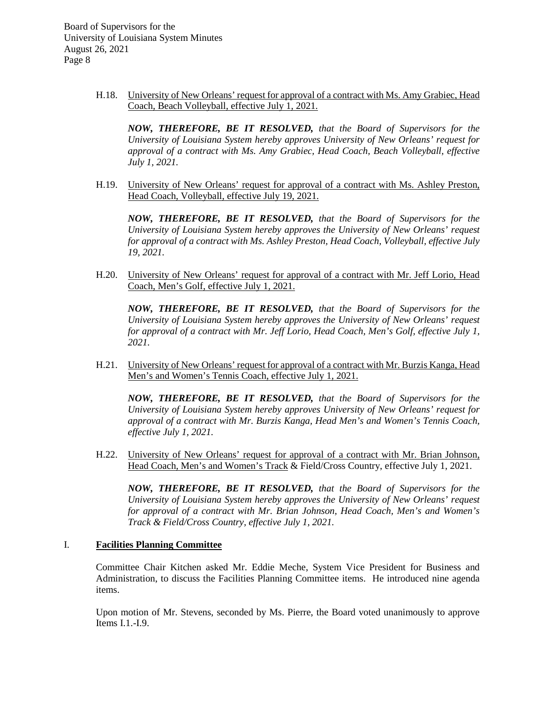> H.18. University of New Orleans' request for approval of a contract with Ms. Amy Grabiec, Head Coach, Beach Volleyball, effective July 1, 2021.

*NOW, THEREFORE, BE IT RESOLVED, that the Board of Supervisors for the University of Louisiana System hereby approves University of New Orleans' request for approval of a contract with Ms. Amy Grabiec, Head Coach, Beach Volleyball, effective July 1, 2021.*

H.19. University of New Orleans' request for approval of a contract with Ms. Ashley Preston, Head Coach, Volleyball, effective July 19, 2021.

*NOW, THEREFORE, BE IT RESOLVED, that the Board of Supervisors for the University of Louisiana System hereby approves the University of New Orleans' request for approval of a contract with Ms. Ashley Preston, Head Coach, Volleyball, effective July 19, 2021.*

H.20. University of New Orleans' request for approval of a contract with Mr. Jeff Lorio, Head Coach, Men's Golf, effective July 1, 2021.

*NOW, THEREFORE, BE IT RESOLVED, that the Board of Supervisors for the University of Louisiana System hereby approves the University of New Orleans' request for approval of a contract with Mr. Jeff Lorio, Head Coach, Men's Golf, effective July 1, 2021.*

H.21. University of New Orleans' request for approval of a contract with Mr. Burzis Kanga, Head Men's and Women's Tennis Coach, effective July 1, 2021.

*NOW, THEREFORE, BE IT RESOLVED, that the Board of Supervisors for the University of Louisiana System hereby approves University of New Orleans' request for approval of a contract with Mr. Burzis Kanga, Head Men's and Women's Tennis Coach, effective July 1, 2021.*

H.22. University of New Orleans' request for approval of a contract with Mr. Brian Johnson, Head Coach, Men's and Women's Track & Field/Cross Country, effective July 1, 2021.

*NOW, THEREFORE, BE IT RESOLVED, that the Board of Supervisors for the University of Louisiana System hereby approves the University of New Orleans' request for approval of a contract with Mr. Brian Johnson, Head Coach, Men's and Women's Track & Field/Cross Country, effective July 1, 2021.*

## I. **Facilities Planning Committee**

Committee Chair Kitchen asked Mr. Eddie Meche, System Vice President for Business and Administration, to discuss the Facilities Planning Committee items. He introduced nine agenda items.

Upon motion of Mr. Stevens, seconded by Ms. Pierre, the Board voted unanimously to approve Items I.1.-I.9.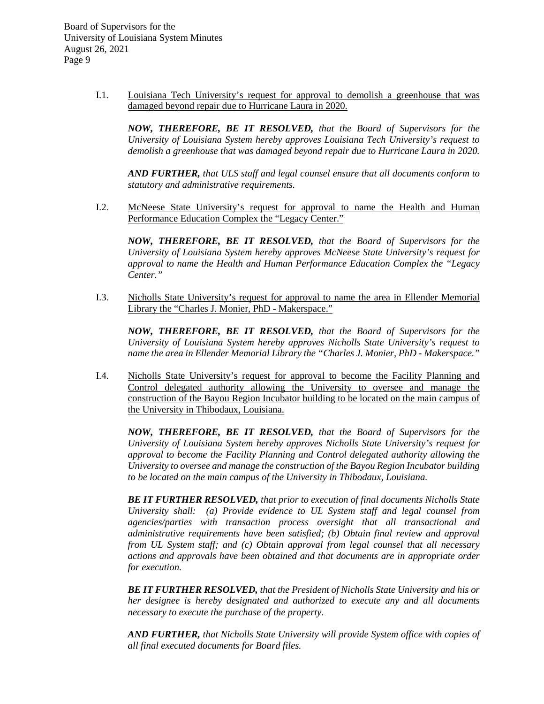> I.1. Louisiana Tech University's request for approval to demolish a greenhouse that was damaged beyond repair due to Hurricane Laura in 2020.

*NOW, THEREFORE, BE IT RESOLVED, that the Board of Supervisors for the University of Louisiana System hereby approves Louisiana Tech University's request to demolish a greenhouse that was damaged beyond repair due to Hurricane Laura in 2020.*

*AND FURTHER, that ULS staff and legal counsel ensure that all documents conform to statutory and administrative requirements.*

I.2. McNeese State University's request for approval to name the Health and Human Performance Education Complex the "Legacy Center."

*NOW, THEREFORE, BE IT RESOLVED, that the Board of Supervisors for the University of Louisiana System hereby approves McNeese State University's request for approval to name the Health and Human Performance Education Complex the "Legacy Center."*

I.3. Nicholls State University's request for approval to name the area in Ellender Memorial Library the "Charles J. Monier, PhD - Makerspace."

*NOW, THEREFORE, BE IT RESOLVED, that the Board of Supervisors for the University of Louisiana System hereby approves Nicholls State University's request to name the area in Ellender Memorial Library the "Charles J. Monier, PhD - Makerspace."*

I.4. Nicholls State University's request for approval to become the Facility Planning and Control delegated authority allowing the University to oversee and manage the construction of the Bayou Region Incubator building to be located on the main campus of the University in Thibodaux, Louisiana.

*NOW, THEREFORE, BE IT RESOLVED, that the Board of Supervisors for the University of Louisiana System hereby approves Nicholls State University's request for approval to become the Facility Planning and Control delegated authority allowing the University to oversee and manage the construction of the Bayou Region Incubator building to be located on the main campus of the University in Thibodaux, Louisiana.*

*BE IT FURTHER RESOLVED, that prior to execution of final documents Nicholls State University shall: (a) Provide evidence to UL System staff and legal counsel from agencies/parties with transaction process oversight that all transactional and administrative requirements have been satisfied; (b) Obtain final review and approval from UL System staff; and (c) Obtain approval from legal counsel that all necessary actions and approvals have been obtained and that documents are in appropriate order for execution.*

*BE IT FURTHER RESOLVED, that the President of Nicholls State University and his or her designee is hereby designated and authorized to execute any and all documents necessary to execute the purchase of the property.*

*AND FURTHER, that Nicholls State University will provide System office with copies of all final executed documents for Board files.*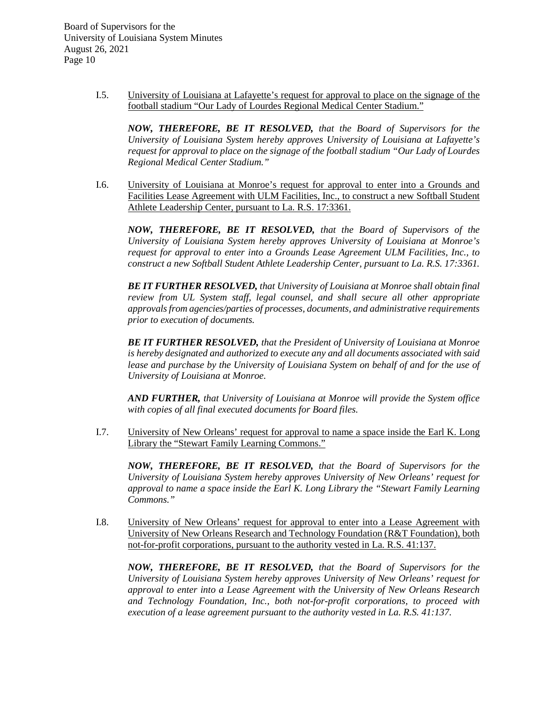> I.5. University of Louisiana at Lafayette's request for approval to place on the signage of the football stadium "Our Lady of Lourdes Regional Medical Center Stadium."

*NOW, THEREFORE, BE IT RESOLVED, that the Board of Supervisors for the University of Louisiana System hereby approves University of Louisiana at Lafayette's request for approval to place on the signage of the football stadium "Our Lady of Lourdes Regional Medical Center Stadium."*

I.6. University of Louisiana at Monroe's request for approval to enter into a Grounds and Facilities Lease Agreement with ULM Facilities, Inc., to construct a new Softball Student Athlete Leadership Center, pursuant to La. R.S. 17:3361.

*NOW, THEREFORE, BE IT RESOLVED, that the Board of Supervisors of the University of Louisiana System hereby approves University of Louisiana at Monroe's request for approval to enter into a Grounds Lease Agreement ULM Facilities, Inc., to construct a new Softball Student Athlete Leadership Center, pursuant to La. R.S. 17:3361.*

*BE IT FURTHER RESOLVED, that University of Louisiana at Monroe shall obtain final review from UL System staff, legal counsel, and shall secure all other appropriate approvals from agencies/parties of processes, documents, and administrative requirements prior to execution of documents.*

*BE IT FURTHER RESOLVED, that the President of University of Louisiana at Monroe is hereby designated and authorized to execute any and all documents associated with said lease and purchase by the University of Louisiana System on behalf of and for the use of University of Louisiana at Monroe.*

*AND FURTHER, that University of Louisiana at Monroe will provide the System office with copies of all final executed documents for Board files.*

I.7. University of New Orleans' request for approval to name a space inside the Earl K. Long Library the "Stewart Family Learning Commons."

*NOW, THEREFORE, BE IT RESOLVED, that the Board of Supervisors for the University of Louisiana System hereby approves University of New Orleans' request for approval to name a space inside the Earl K. Long Library the "Stewart Family Learning Commons."* 

I.8. University of New Orleans' request for approval to enter into a Lease Agreement with University of New Orleans Research and Technology Foundation (R&T Foundation), both not-for-profit corporations, pursuant to the authority vested in La. R.S. 41:137.

*NOW, THEREFORE, BE IT RESOLVED, that the Board of Supervisors for the University of Louisiana System hereby approves University of New Orleans' request for approval to enter into a Lease Agreement with the University of New Orleans Research and Technology Foundation, Inc., both not-for-profit corporations, to proceed with execution of a lease agreement pursuant to the authority vested in La. R.S. 41:137.*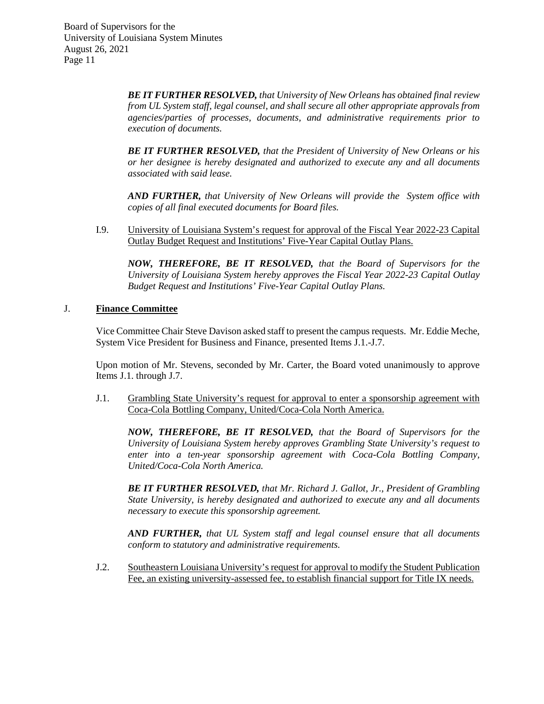> *BE IT FURTHER RESOLVED, that University of New Orleans has obtained final review from UL System staff, legal counsel, and shall secure all other appropriate approvals from agencies/parties of processes, documents, and administrative requirements prior to execution of documents.*

> *BE IT FURTHER RESOLVED, that the President of University of New Orleans or his or her designee is hereby designated and authorized to execute any and all documents associated with said lease.*

> *AND FURTHER, that University of New Orleans will provide the System office with copies of all final executed documents for Board files.*

I.9. University of Louisiana System's request for approval of the Fiscal Year 2022-23 Capital Outlay Budget Request and Institutions' Five-Year Capital Outlay Plans.

*NOW, THEREFORE, BE IT RESOLVED, that the Board of Supervisors for the University of Louisiana System hereby approves the Fiscal Year 2022-23 Capital Outlay Budget Request and Institutions' Five-Year Capital Outlay Plans.*

## J. **Finance Committee**

Vice Committee Chair Steve Davison asked staff to present the campus requests. Mr. Eddie Meche, System Vice President for Business and Finance, presented Items J.1.-J.7.

Upon motion of Mr. Stevens, seconded by Mr. Carter, the Board voted unanimously to approve Items J.1. through J.7.

J.1. Grambling State University's request for approval to enter a sponsorship agreement with Coca-Cola Bottling Company, United/Coca-Cola North America.

*NOW, THEREFORE, BE IT RESOLVED, that the Board of Supervisors for the University of Louisiana System hereby approves Grambling State University's request to enter into a ten-year sponsorship agreement with Coca-Cola Bottling Company, United/Coca-Cola North America.*

*BE IT FURTHER RESOLVED, that Mr. Richard J. Gallot, Jr., President of Grambling State University, is hereby designated and authorized to execute any and all documents necessary to execute this sponsorship agreement.*

*AND FURTHER, that UL System staff and legal counsel ensure that all documents conform to statutory and administrative requirements.*

J.2. Southeastern Louisiana University's request for approval to modify the Student Publication Fee, an existing university-assessed fee, to establish financial support for Title IX needs.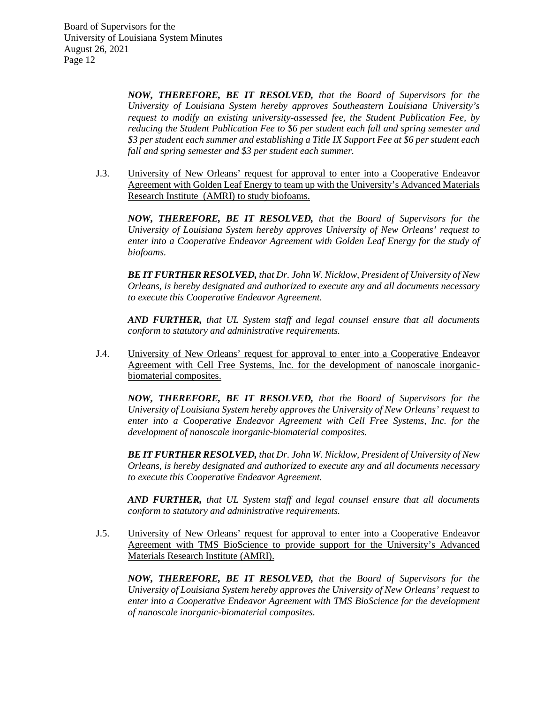> *NOW, THEREFORE, BE IT RESOLVED, that the Board of Supervisors for the University of Louisiana System hereby approves Southeastern Louisiana University's request to modify an existing university-assessed fee, the Student Publication Fee, by reducing the Student Publication Fee to \$6 per student each fall and spring semester and \$3 per student each summer and establishing a Title IX Support Fee at \$6 per student each fall and spring semester and \$3 per student each summer.*

J.3. University of New Orleans' request for approval to enter into a Cooperative Endeavor Agreement with Golden Leaf Energy to team up with the University's Advanced Materials Research Institute (AMRI) to study biofoams.

*NOW, THEREFORE, BE IT RESOLVED, that the Board of Supervisors for the University of Louisiana System hereby approves University of New Orleans' request to enter into a Cooperative Endeavor Agreement with Golden Leaf Energy for the study of biofoams.*

*BE IT FURTHER RESOLVED, that Dr. John W. Nicklow, President of University of New Orleans, is hereby designated and authorized to execute any and all documents necessary to execute this Cooperative Endeavor Agreement.* 

*AND FURTHER, that UL System staff and legal counsel ensure that all documents conform to statutory and administrative requirements.*

J.4. University of New Orleans' request for approval to enter into a Cooperative Endeavor Agreement with Cell Free Systems, Inc. for the development of nanoscale inorganicbiomaterial composites.

*NOW, THEREFORE, BE IT RESOLVED, that the Board of Supervisors for the University of Louisiana System hereby approves the University of New Orleans' request to enter into a Cooperative Endeavor Agreement with Cell Free Systems, Inc. for the development of nanoscale inorganic-biomaterial composites.*

*BE IT FURTHER RESOLVED, that Dr. John W. Nicklow, President of University of New Orleans, is hereby designated and authorized to execute any and all documents necessary to execute this Cooperative Endeavor Agreement.*

*AND FURTHER, that UL System staff and legal counsel ensure that all documents conform to statutory and administrative requirements.*

J.5. University of New Orleans' request for approval to enter into a Cooperative Endeavor Agreement with TMS BioScience to provide support for the University's Advanced Materials Research Institute (AMRI).

*NOW, THEREFORE, BE IT RESOLVED, that the Board of Supervisors for the University of Louisiana System hereby approves the University of New Orleans' request to enter into a Cooperative Endeavor Agreement with TMS BioScience for the development of nanoscale inorganic-biomaterial composites.*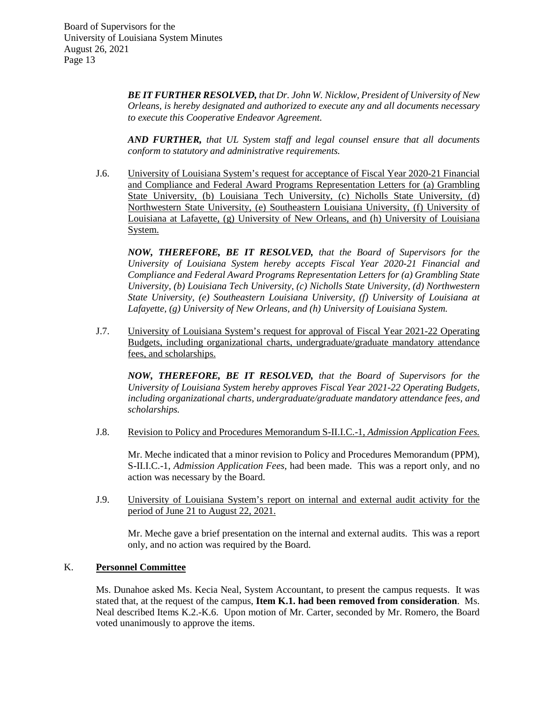> *BE IT FURTHER RESOLVED, that Dr. John W. Nicklow, President of University of New Orleans, is hereby designated and authorized to execute any and all documents necessary to execute this Cooperative Endeavor Agreement.*

> *AND FURTHER, that UL System staff and legal counsel ensure that all documents conform to statutory and administrative requirements.*

J.6. University of Louisiana System's request for acceptance of Fiscal Year 2020-21 Financial and Compliance and Federal Award Programs Representation Letters for (a) Grambling State University, (b) Louisiana Tech University, (c) Nicholls State University, (d) Northwestern State University, (e) Southeastern Louisiana University, (f) University of Louisiana at Lafayette, (g) University of New Orleans, and (h) University of Louisiana System.

*NOW, THEREFORE, BE IT RESOLVED, that the Board of Supervisors for the University of Louisiana System hereby accepts Fiscal Year 2020-21 Financial and Compliance and Federal Award Programs Representation Letters for (a) Grambling State University, (b) Louisiana Tech University, (c) Nicholls State University, (d) Northwestern State University, (e) Southeastern Louisiana University, (f) University of Louisiana at Lafayette, (g) University of New Orleans, and (h) University of Louisiana System.* 

J.7. University of Louisiana System's request for approval of Fiscal Year 2021-22 Operating Budgets, including organizational charts, undergraduate/graduate mandatory attendance fees, and scholarships.

*NOW, THEREFORE, BE IT RESOLVED, that the Board of Supervisors for the University of Louisiana System hereby approves Fiscal Year 2021-22 Operating Budgets, including organizational charts, undergraduate/graduate mandatory attendance fees, and scholarships.*

J.8. Revision to Policy and Procedures Memorandum S-II.I.C.-1, *Admission Application Fees.*

Mr. Meche indicated that a minor revision to Policy and Procedures Memorandum (PPM), S-II.I.C.-1, *Admission Application Fees,* had been made. This was a report only, and no action was necessary by the Board.

J.9. University of Louisiana System's report on internal and external audit activity for the period of June 21 to August 22, 2021.

Mr. Meche gave a brief presentation on the internal and external audits. This was a report only, and no action was required by the Board.

# K. **Personnel Committee**

Ms. Dunahoe asked Ms. Kecia Neal, System Accountant, to present the campus requests. It was stated that, at the request of the campus, **Item K.1. had been removed from consideration**. Ms. Neal described Items K.2.-K.6. Upon motion of Mr. Carter, seconded by Mr. Romero, the Board voted unanimously to approve the items.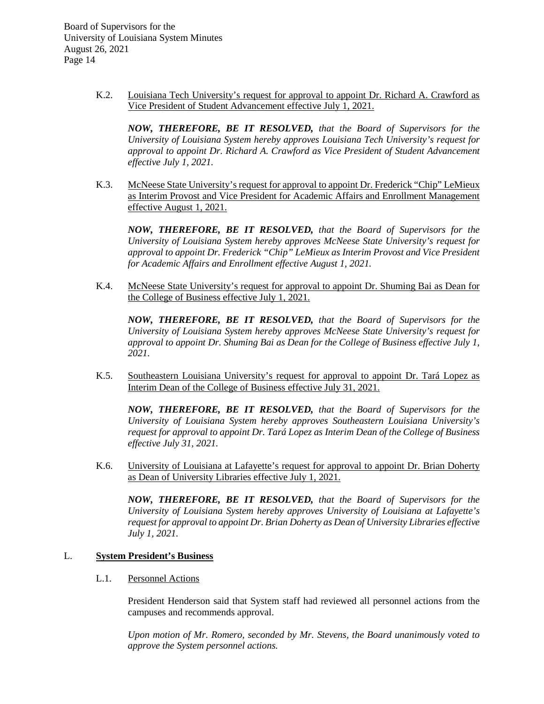> K.2. Louisiana Tech University's request for approval to appoint Dr. Richard A. Crawford as Vice President of Student Advancement effective July 1, 2021.

*NOW, THEREFORE, BE IT RESOLVED, that the Board of Supervisors for the University of Louisiana System hereby approves Louisiana Tech University's request for approval to appoint Dr. Richard A. Crawford as Vice President of Student Advancement effective July 1, 2021.*

K.3. McNeese State University's request for approval to appoint Dr. Frederick "Chip" LeMieux as Interim Provost and Vice President for Academic Affairs and Enrollment Management effective August 1, 2021.

*NOW, THEREFORE, BE IT RESOLVED, that the Board of Supervisors for the University of Louisiana System hereby approves McNeese State University's request for approval to appoint Dr. Frederick "Chip" LeMieux as Interim Provost and Vice President for Academic Affairs and Enrollment effective August 1, 2021.*

K.4. McNeese State University's request for approval to appoint Dr. Shuming Bai as Dean for the College of Business effective July 1, 2021.

*NOW, THEREFORE, BE IT RESOLVED, that the Board of Supervisors for the University of Louisiana System hereby approves McNeese State University's request for approval to appoint Dr. Shuming Bai as Dean for the College of Business effective July 1, 2021.*

K.5. Southeastern Louisiana University's request for approval to appoint Dr. Tará Lopez as Interim Dean of the College of Business effective July 31, 2021.

*NOW, THEREFORE, BE IT RESOLVED, that the Board of Supervisors for the University of Louisiana System hereby approves Southeastern Louisiana University's request for approval to appoint Dr. Tará Lopez as Interim Dean of the College of Business effective July 31, 2021.*

K.6. University of Louisiana at Lafayette's request for approval to appoint Dr. Brian Doherty as Dean of University Libraries effective July 1, 2021.

*NOW, THEREFORE, BE IT RESOLVED, that the Board of Supervisors for the University of Louisiana System hereby approves University of Louisiana at Lafayette's request for approval to appoint Dr. Brian Doherty as Dean of University Libraries effective July 1, 2021.*

## L. **System President's Business**

#### L.1. Personnel Actions

President Henderson said that System staff had reviewed all personnel actions from the campuses and recommends approval.

*Upon motion of Mr. Romero, seconded by Mr. Stevens, the Board unanimously voted to approve the System personnel actions.*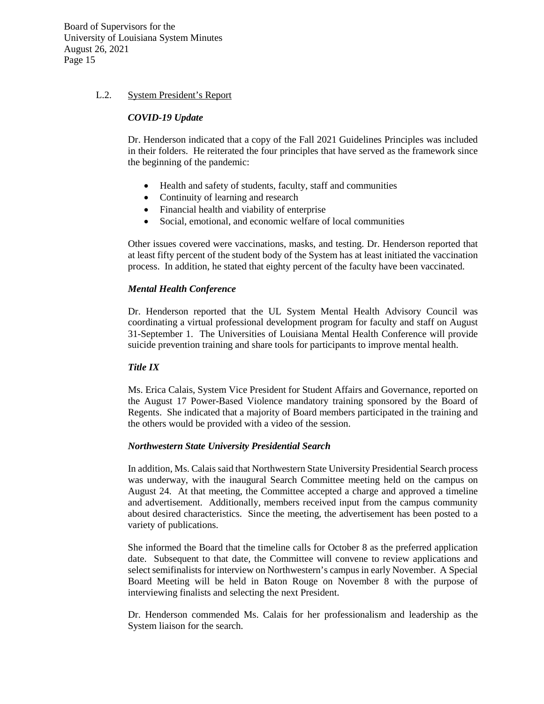### L.2. System President's Report

### *COVID-19 Update*

Dr. Henderson indicated that a copy of the Fall 2021 Guidelines Principles was included in their folders. He reiterated the four principles that have served as the framework since the beginning of the pandemic:

- Health and safety of students, faculty, staff and communities
- Continuity of learning and research
- Financial health and viability of enterprise
- Social, emotional, and economic welfare of local communities

Other issues covered were vaccinations, masks, and testing. Dr. Henderson reported that at least fifty percent of the student body of the System has at least initiated the vaccination process. In addition, he stated that eighty percent of the faculty have been vaccinated.

## *Mental Health Conference*

Dr. Henderson reported that the UL System Mental Health Advisory Council was coordinating a virtual professional development program for faculty and staff on August 31-September 1. The Universities of Louisiana Mental Health Conference will provide suicide prevention training and share tools for participants to improve mental health.

## *Title IX*

Ms. Erica Calais, System Vice President for Student Affairs and Governance, reported on the August 17 Power-Based Violence mandatory training sponsored by the Board of Regents. She indicated that a majority of Board members participated in the training and the others would be provided with a video of the session.

## *Northwestern State University Presidential Search*

In addition, Ms. Calais said that Northwestern State University Presidential Search process was underway, with the inaugural Search Committee meeting held on the campus on August 24. At that meeting, the Committee accepted a charge and approved a timeline and advertisement. Additionally, members received input from the campus community about desired characteristics. Since the meeting, the advertisement has been posted to a variety of publications.

She informed the Board that the timeline calls for October 8 as the preferred application date. Subsequent to that date, the Committee will convene to review applications and select semifinalists for interview on Northwestern's campus in early November. A Special Board Meeting will be held in Baton Rouge on November 8 with the purpose of interviewing finalists and selecting the next President.

Dr. Henderson commended Ms. Calais for her professionalism and leadership as the System liaison for the search.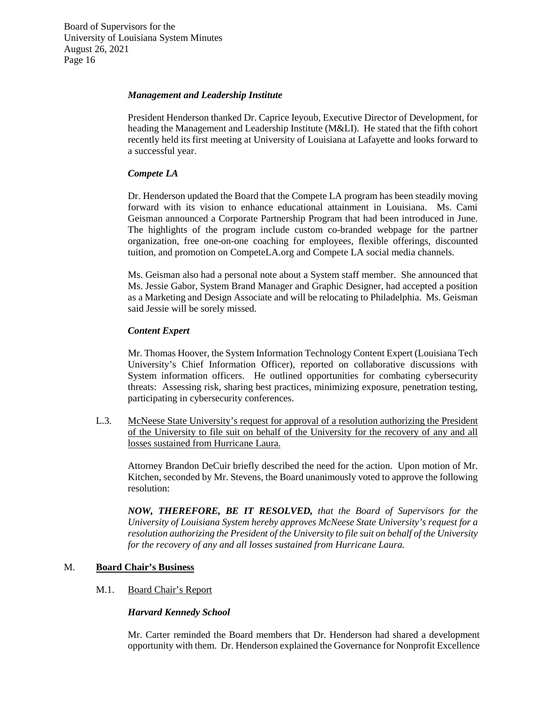### *Management and Leadership Institute*

President Henderson thanked Dr. Caprice Ieyoub, Executive Director of Development, for heading the Management and Leadership Institute (M&LI). He stated that the fifth cohort recently held its first meeting at University of Louisiana at Lafayette and looks forward to a successful year.

### *Compete LA*

Dr. Henderson updated the Board that the Compete LA program has been steadily moving forward with its vision to enhance educational attainment in Louisiana. Ms. Cami Geisman announced a Corporate Partnership Program that had been introduced in June. The highlights of the program include custom co-branded webpage for the partner organization, free one-on-one coaching for employees, flexible offerings, discounted tuition, and promotion on CompeteLA.org and Compete LA social media channels.

Ms. Geisman also had a personal note about a System staff member. She announced that Ms. Jessie Gabor, System Brand Manager and Graphic Designer, had accepted a position as a Marketing and Design Associate and will be relocating to Philadelphia. Ms. Geisman said Jessie will be sorely missed.

### *Content Expert*

Mr. Thomas Hoover, the System Information Technology Content Expert (Louisiana Tech University's Chief Information Officer), reported on collaborative discussions with System information officers. He outlined opportunities for combating cybersecurity threats: Assessing risk, sharing best practices, minimizing exposure, penetration testing, participating in cybersecurity conferences.

L.3. McNeese State University's request for approval of a resolution authorizing the President of the University to file suit on behalf of the University for the recovery of any and all losses sustained from Hurricane Laura.

Attorney Brandon DeCuir briefly described the need for the action. Upon motion of Mr. Kitchen, seconded by Mr. Stevens, the Board unanimously voted to approve the following resolution:

*NOW, THEREFORE, BE IT RESOLVED, that the Board of Supervisors for the University of Louisiana System hereby approves McNeese State University's request for a resolution authorizing the President of the University to file suit on behalf of the University for the recovery of any and all losses sustained from Hurricane Laura.* 

## M. **Board Chair's Business**

## M.1. Board Chair's Report

#### *Harvard Kennedy School*

Mr. Carter reminded the Board members that Dr. Henderson had shared a development opportunity with them. Dr. Henderson explained the Governance for Nonprofit Excellence